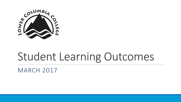

# Student Learning Outcomes

MARCH 2017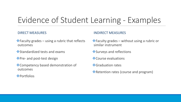## Evidence of Student Learning - Examples

#### DIRECT MEASURES

- $\cdot$  Faculty grades using a rubric that reflects outcomes
- Standardized tests and exams
- ❖ Pre- and post-test design
- Competency based demonstration of outcomes
- ❖ Portfolios

#### INDIRECT MEASURES

- $\triangle$  Faculty grades without using a rubric or similar instrument
- Surveys and reflections **\***
- $\triangle$  Course evaluations
- **❖ Graduation rates**
- **Example:** Retention rates (course and program)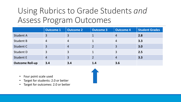### Using Rubrics to Grade Students *and* Assess Program Outcomes

|                        | <b>Outcome 1</b> | <b>Outcome 2</b> | <b>Outcome 3</b> | <b>Outcome 4</b> | <b>Student Grades</b> |
|------------------------|------------------|------------------|------------------|------------------|-----------------------|
| <b>Student A</b>       | $\overline{3}$   | 3                |                  | $\overline{4}$   | 2.8                   |
| <b>Student B</b>       | $\overline{4}$   | 4                |                  | $\overline{4}$   | 3.3                   |
| Student C              | $\overline{3}$   | $\overline{4}$   | $\overline{2}$   | 3                | 3.0                   |
| Student D              | 3                | 3                |                  | 3                | 2.5                   |
| <b>Student E</b>       | $\overline{4}$   | 3                | $\overline{2}$   | $\overline{4}$   | 3.3                   |
| <b>Outcome Roll-up</b> | 3.4              | 3.4              | 1.4              | 3.6              |                       |

- Four point scale used
- Target for students: 2.0 or better
- Target for outcomes: 2.0 or better